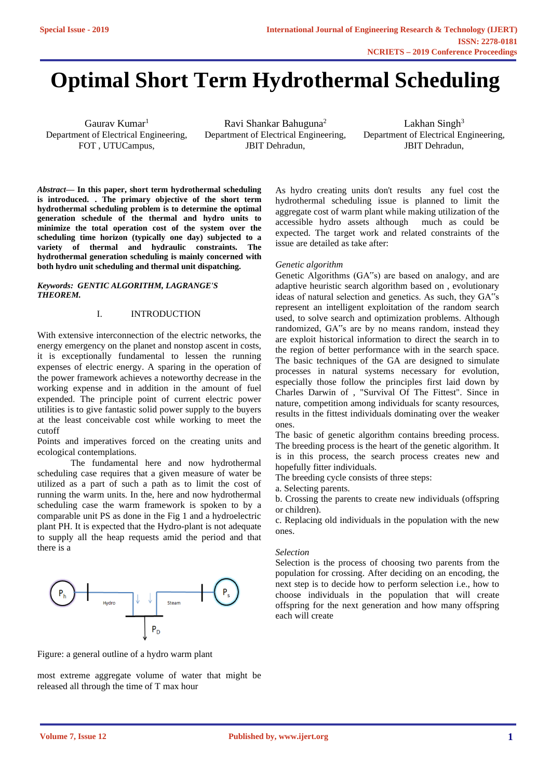# **Optimal Short Term Hydrothermal Scheduling**

Gaurav Kumar<sup>1</sup> Department of Electrical Engineering, FOT , UTUCampus,

Ravi Shankar Bahuguna<sup>2</sup> Department of Electrical Engineering, JBIT Dehradun,

Lakhan Singh $3$ Department of Electrical Engineering, JBIT Dehradun,

*Abstract—* **In this paper, short term hydrothermal scheduling is introduced. . The primary objective of the short term hydrothermal scheduling problem is to determine the optimal generation schedule of the thermal and hydro units to minimize the total operation cost of the system over the scheduling time horizon (typically one day) subjected to a variety of thermal and hydraulic constraints. The hydrothermal generation scheduling is mainly concerned with both hydro unit scheduling and thermal unit dispatching.**

#### *Keywords: GENTIC ALGORITHM, LAGRANGE'S THEOREM.*

## I. INTRODUCTION

With extensive interconnection of the electric networks, the energy emergency on the planet and nonstop ascent in costs, it is exceptionally fundamental to lessen the running expenses of electric energy. A sparing in the operation of the power framework achieves a noteworthy decrease in the working expense and in addition in the amount of fuel expended. The principle point of current electric power utilities is to give fantastic solid power supply to the buyers at the least conceivable cost while working to meet the cutoff

Points and imperatives forced on the creating units and ecological contemplations.

The fundamental here and now hydrothermal scheduling case requires that a given measure of water be utilized as a part of such a path as to limit the cost of running the warm units. In the, here and now hydrothermal scheduling case the warm framework is spoken to by a comparable unit PS as done in the Fig 1 and a hydroelectric plant PH. It is expected that the Hydro-plant is not adequate to supply all the heap requests amid the period and that there is a



Figure: a general outline of a hydro warm plant

most extreme aggregate volume of water that might be released all through the time of T max hour

As hydro creating units don't results any fuel cost the hydrothermal scheduling issue is planned to limit the aggregate cost of warm plant while making utilization of the accessible hydro assets although much as could be expected. The target work and related constraints of the issue are detailed as take after:

### *Genetic algorithm*

Genetic Algorithms (GA"s) are based on analogy, and are adaptive heuristic search algorithm based on , evolutionary ideas of natural selection and genetics. As such, they GA"s represent an intelligent exploitation of the random search used, to solve search and optimization problems. Although randomized, GA"s are by no means random, instead they are exploit historical information to direct the search in to the region of better performance with in the search space. The basic techniques of the GA are designed to simulate processes in natural systems necessary for evolution, especially those follow the principles first laid down by Charles Darwin of , "Survival Of The Fittest". Since in nature, competition among individuals for scanty resources, results in the fittest individuals dominating over the weaker ones.

The basic of genetic algorithm contains breeding process. The breeding process is the heart of the genetic algorithm. It is in this process, the search process creates new and hopefully fitter individuals.

The breeding cycle consists of three steps:

a. Selecting parents.

b. Crossing the parents to create new individuals (offspring or children).

c. Replacing old individuals in the population with the new ones.

### *Selection*

Selection is the process of choosing two parents from the population for crossing. After deciding on an encoding, the next step is to decide how to perform selection i.e., how to choose individuals in the population that will create offspring for the next generation and how many offspring each will create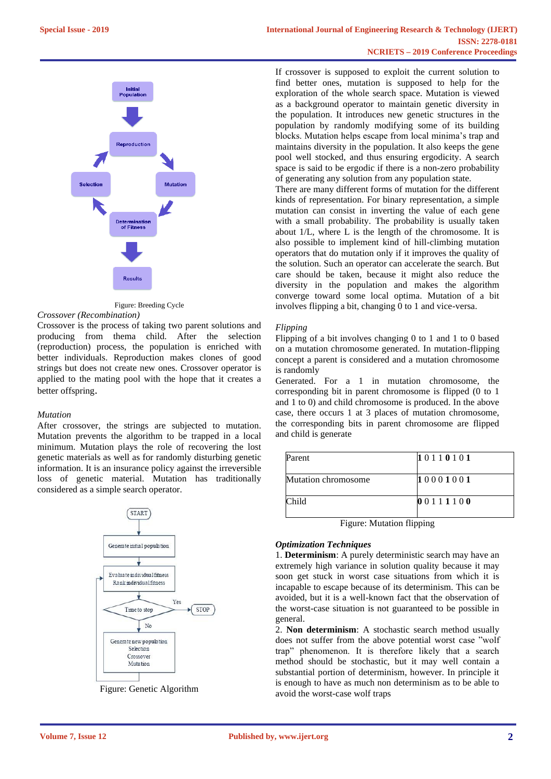

Figure: Breeding Cycle

#### *Crossover (Recombination)*

Crossover is the process of taking two parent solutions and producing from thema child. After the selection (reproduction) process, the population is enriched with better individuals. Reproduction makes clones of good strings but does not create new ones. Crossover operator is applied to the mating pool with the hope that it creates a better offspring.

### *Mutation*

After crossover, the strings are subjected to mutation. Mutation prevents the algorithm to be trapped in a local minimum. Mutation plays the role of recovering the lost genetic materials as well as for randomly disturbing genetic information. It is an insurance policy against the irreversible loss of genetic material. Mutation has traditionally considered as a simple search operator.



Figure: Genetic Algorithm

If crossover is supposed to exploit the current solution to find better ones, mutation is supposed to help for the exploration of the whole search space. Mutation is viewed as a background operator to maintain genetic diversity in the population. It introduces new genetic structures in the population by randomly modifying some of its building blocks. Mutation helps escape from local minima's trap and maintains diversity in the population. It also keeps the gene pool well stocked, and thus ensuring ergodicity. A search space is said to be ergodic if there is a non-zero probability of generating any solution from any population state.

There are many different forms of mutation for the different kinds of representation. For binary representation, a simple mutation can consist in inverting the value of each gene with a small probability. The probability is usually taken about 1/L, where L is the length of the chromosome. It is also possible to implement kind of hill-climbing mutation operators that do mutation only if it improves the quality of the solution. Such an operator can accelerate the search. But care should be taken, because it might also reduce the diversity in the population and makes the algorithm converge toward some local optima. Mutation of a bit involves flipping a bit, changing 0 to 1 and vice-versa.

## *Flipping*

Flipping of a bit involves changing 0 to 1 and 1 to 0 based on a mutation chromosome generated. In mutation-flipping concept a parent is considered and a mutation chromosome is randomly

Generated. For a 1 in mutation chromosome, the corresponding bit in parent chromosome is flipped (0 to 1 and 1 to 0) and child chromosome is produced. In the above case, there occurs 1 at 3 places of mutation chromosome, the corresponding bits in parent chromosome are flipped and child is generate

| Parent                     | 10110101 |
|----------------------------|----------|
| <b>Mutation chromosome</b> | 10001001 |
| Child                      | 00111100 |

Figure: Mutation flipping

### *Optimization Techniques*

1. **Determinism**: A purely deterministic search may have an extremely high variance in solution quality because it may soon get stuck in worst case situations from which it is incapable to escape because of its determinism. This can be avoided, but it is a well-known fact that the observation of the worst-case situation is not guaranteed to be possible in general.

2. **Non determinism**: A stochastic search method usually does not suffer from the above potential worst case "wolf trap" phenomenon. It is therefore likely that a search method should be stochastic, but it may well contain a substantial portion of determinism, however. In principle it is enough to have as much non determinism as to be able to avoid the worst-case wolf traps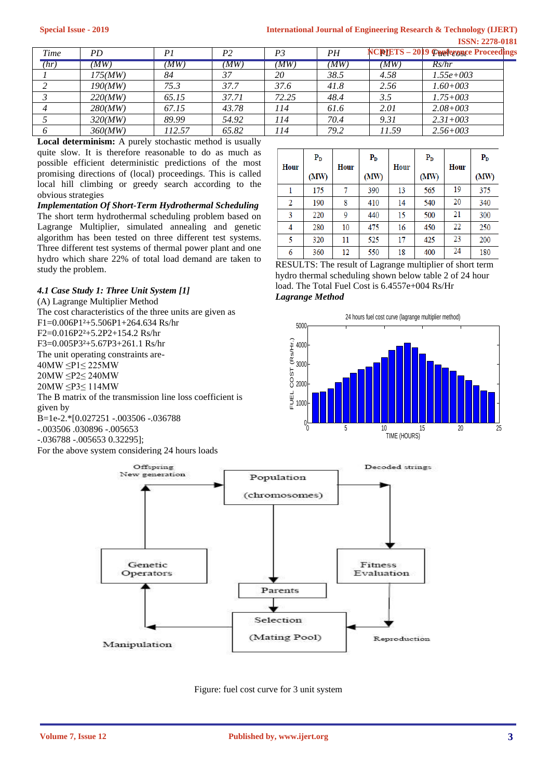## **International Journal of Engineering Research & Technology (IJERT) ISSN: 2278-0181**

| Time | PD      |       | P2    | P3    | PН   |       | NCRIETS - 2019 Coppiersuse Proceedings |
|------|---------|-------|-------|-------|------|-------|----------------------------------------|
| (hr) | (MW)    | MW    | (MW)  | (MW)  | (MW) | (MW)  | Rs/hr                                  |
|      | 175(MW) | 84    | 37    | 20    | 38.5 | 4.58  | $1.55e+003$                            |
|      | 190(MW) | 75.3  | 37.7  | 37.6  | 41.8 | 2.56  | $1.60 + 003$                           |
|      | 220(MW) | 65.15 | 37.71 | 72.25 | 48.4 | 3.5   | $1.75 + 003$                           |
|      | 280(MW) | 67.15 | 43.78 | 114   | 61.6 | 2.01  | $2.08 + 003$                           |
|      | 320(MW) | 89.99 | 54.92 | 114   | 70.4 | 9.31  | $2.31 + 0.03$                          |
|      | 360(MW) | 12.57 | 65.82 | 114   | 79.2 | 11.59 | $2.56 + 003$                           |

**Local determinism:** A purely stochastic method is usually quite slow. It is therefore reasonable to do as much as possible efficient deterministic predictions of the most promising directions of (local) proceedings. This is called local hill climbing or greedy search according to the obvious strategies

*Implementation Of Short-Term Hydrothermal Scheduling* The short term hydrothermal scheduling problem based on Lagrange Multiplier, simulated annealing and genetic algorithm has been tested on three different test systems. Three different test systems of thermal power plant and one hydro which share 22% of total load demand are taken to study the problem.

## *4.1 Case Study 1: Three Unit System [1]*

(A) Lagrange Multiplier Method The cost characteristics of the three units are given as F1=0.006P1²+5.506P1+264.634 Rs/hr F2=0.016P2²+5.2P2+154.2 Rs/hr F3=0.005P3²+5.67P3+261.1 Rs/hr The unit operating constraints are-40MW ≤P1≤ 225MW 20MW ≤P2≤ 240MW 20MW ≤P3≤ 114MW The B matrix of the transmission line loss coefficient is given by B=1e-2.\*[0.027251 -.003506 -.036788 -.003506 .030896 -.005653 -.036788 -.005653 0.32295];

 $\mathbf{P}_{\mathbf{D}}$  $P<sub>D</sub>$  $P<sub>D</sub>$  $P<sub>D</sub>$ Hour Hour Hour Hour  $(MW)$  $(MW)$  $(MW)$  $(MW)$ 19  $\mathbf{1}$ 175  $\overline{7}$ 390 13 565 375 20 190 8 410 14 540 340  $\overline{2}$ 15 21 300 3 220 9 440 500  $\overline{22}$  $\overline{4}$ 280 10 475 450 250 16  $\overline{5}$ 320  $11$ 525  $17$ 425  $\overline{23}$ 200 24 550 400 6 360  $12$ 18 180

RESULTS: The result of Lagrange multiplier of short term hydro thermal scheduling shown below table 2 of 24 hour load. The Total Fuel Cost is 6.4557e+004 Rs/Hr *Lagrange Method*





Figure: fuel cost curve for 3 unit system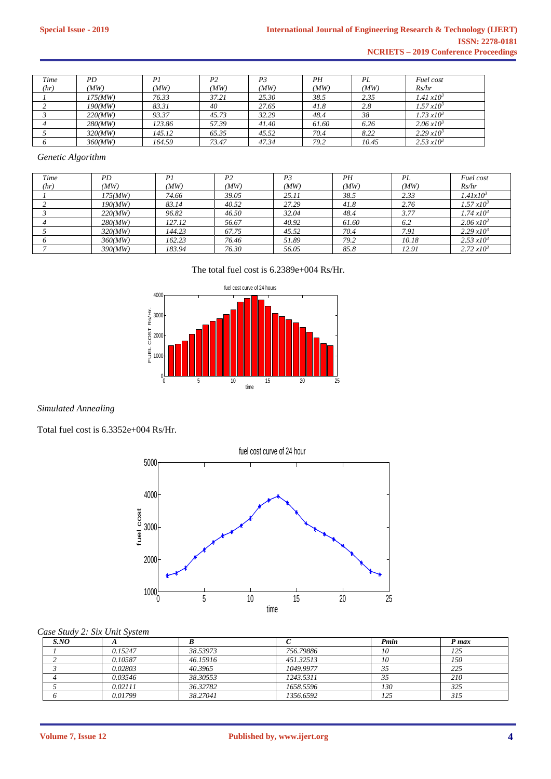| Time | PD      | Ρl     | P <sub>2</sub> | P3    | PН    | PL    | Fuel cost                |
|------|---------|--------|----------------|-------|-------|-------|--------------------------|
| (hr) | (MW)    | (MW)   | (MW)           | (MW)  | (MW)  | (MW)  | Rs/hr                    |
|      | 175(MW) | 76.33  | 37.21          | 25.30 | 38.5  | 2.35  | $1.41 \, \times 10^3$    |
|      | 190(MW) | 83.31  | 40             | 27.65 | 41.8  | 2.8   | $1.57 \, x10^3$          |
|      | 220(MW) | 93.37  | 45.73          | 32.29 | 48.4  | 38    | $1.73 \, x10^3$          |
|      | 280(MW) | 123.86 | 57.39          | 41.40 | 61.60 | 6.26  | $2.06 \, x10^3$          |
|      | 320(MW) | 145.12 | 65.35          | 45.52 | 70.4  | 8.22  | $2.29 x 10^3$            |
|      | 360(MW) | 164.59 | 73.47          | 47.34 | 79.2  | 10.45 | $2.53 \,\mathrm{x} 10^3$ |

## *Genetic Algorithm*

| Time | PD      | P1     | P <sub>2</sub> | P <sub>3</sub> | PН    | PL    | Fuel cost          |
|------|---------|--------|----------------|----------------|-------|-------|--------------------|
| (hr) | (MW)    | (MW)   | (MW)           | (MW)           | (MW)  | (MW)  | Rs/hr              |
|      | 175(MW) | 74.66  | 39.05          | 25.11          | 38.5  | 2.33  | $1.41x10^{3}$      |
|      | 190(MW) | 83.14  | 40.52          | 27.29          | 41.8  | 2.76  | $1.57 x 10^3$      |
|      | 220(MW) | 96.82  | 46.50          | 32.04          | 48.4  | 3.77  | $1.74 \, x10^3$    |
|      | 280(MW) | 127.12 | 56.67          | 40.92          | 61.60 | 6.2   | $2.06 \, x10^3$    |
|      | 320(MW) | 144.23 | 67.75          | 45.52          | 70.4  | 7.91  | $2.29 x 10^3$      |
|      | 360(MW) | 162.23 | 76.46          | 51.89          | 79.2  | 10.18 | $2.53 \times 10^3$ |
|      | 390(MW) | 183.94 | 76.30          | 56.05          | 85.8  | 12.91 | $2.72 \, x10^3$    |

The total fuel cost is 6.2389e+004 Rs/Hr.



*Simulated Annealing*

Total fuel cost is 6.3352e+004 Rs/Hr.



## *Case Study 2: Six Unit System*

| SNO |         |          |           | Pmin | P max |
|-----|---------|----------|-----------|------|-------|
|     | 0.15247 | 38.53973 | 756.79886 | 10   | 125   |
|     | 0.10587 | 46.15916 | 451.32513 | 10   | 150   |
|     | 0.02803 | 40.3965  | 1049.9977 |      | 225   |
|     | 0.03546 | 38.30553 | 1243.5311 |      | 210   |
|     | 0.02111 | 36.32782 | 1658.5596 | 130  | 325   |
|     | 0.01799 | 38.27041 | 1356.6592 | 125  | 315   |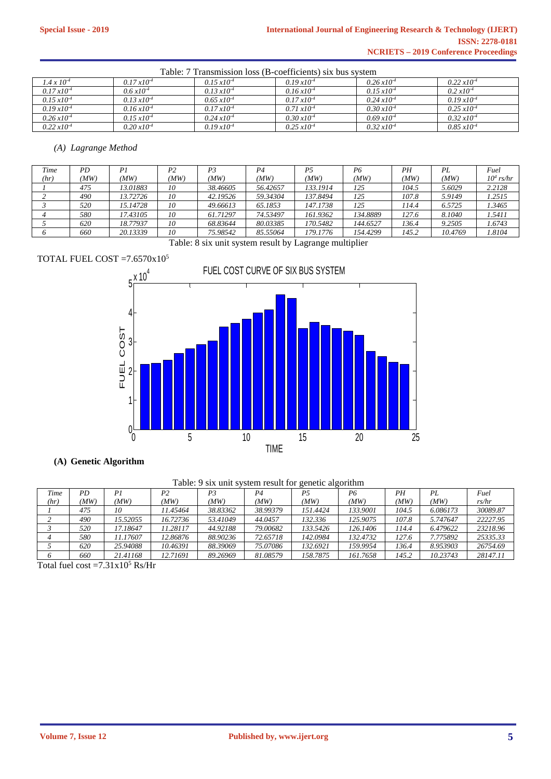| Table: 7 Transmission loss (B-coefficients) six bus system |                       |                       |                       |                       |                       |  |  |  |
|------------------------------------------------------------|-----------------------|-----------------------|-----------------------|-----------------------|-----------------------|--|--|--|
| $1.4 \times 10^{-4}$                                       | $0.17 \times 10^{-4}$ | $0.15 \times 10^{-4}$ | $0.19 \times 10^{-4}$ | $0.26 \times 10^{-4}$ | $0.22 \, x10^{-4}$    |  |  |  |
| $0.17 \, x10^{-4}$                                         | $0.6 \, x10^{-4}$     | $0.13 \times 10^{-4}$ | $0.16 \, x10^{-4}$    | $0.15 \, x10^{-4}$    | $0.2 \times 10^{-4}$  |  |  |  |
| $0.15 \, x10^{-4}$                                         | $0.13 \times 10^{-4}$ | $0.65 \times 10^{-4}$ | $0.17 \times 10^{-4}$ | $0.24 \times 10^{-4}$ | $0.19 \times 10^{-4}$ |  |  |  |
| $0.19 \, x10^{-4}$                                         | $0.16 \times 10^{-4}$ | $0.17 \times 10^{-4}$ | $0.71 \times 10^{-4}$ | $0.30 \times 10^{-4}$ | $0.25 \times 10^{-4}$ |  |  |  |
| $0.26 \, x10^{-4}$                                         | $0.15 \times 10^{-4}$ | $0.24 \times 10^{-4}$ | $0.30 \times 10^{-4}$ | $0.69 x 10^{-4}$      | $0.32 \times 10^{-4}$ |  |  |  |
| $0.22 \times 10^{-4}$                                      | $0.20 \times 10^{-4}$ | $0.19 x 10^{-4}$      | $0.25 \times 10^{-4}$ | $0.32 \times 10^{-4}$ | $0.85 \times 10^{-4}$ |  |  |  |

## *(A) Lagrange Method*

| Time | PD   | Pi       | P <sub>2</sub> | Р3       | P4       | Р5       | P6       | PН    | PL      | Fuel         |
|------|------|----------|----------------|----------|----------|----------|----------|-------|---------|--------------|
| (hr) | (MW) | MW)      | (MW)           | (MW)     | MW)      | (MW)     | (MW      | (MW)  | (MW)    | $10^4$ rs/hr |
|      | 475  | 13.01883 | 10             | 38.46605 | 56.42657 | 133.1914 | 125      | 104.5 | 5.6029  | 2.2128       |
|      | 490  | 13.72726 | 10             | 42.19526 | 59.34304 | 137.8494 | 125      | 107.8 | 5.9149  | 1.2515       |
|      | 520  | 15.14728 | 10             | 49.66613 | 65.1853  | 147.1738 | 125      | 114.4 | 6.5725  | 1.3465       |
|      | 580  | 17.43105 | 10             | 61.71297 | 74.53497 | 161.9362 | 134.8889 | 127.6 | 8.1040  | 1.5411       |
|      | 620  | 18.77937 | 10             | 68.83644 | 80.03385 | 170.5482 | 144.6527 | 136.4 | 9.2505  | 1.6743       |
|      | 660  | 20.13339 | 10             | 75.98542 | 85.55064 | 179.1776 | 154.4299 | 145.2 | 10.4769 | 1.8104       |

Table: 8 six unit system result by Lagrange multiplier

## TOTAL FUEL COST =  $7.6570 \times 10^{5}$



## **(A) Genetic Algorithm**

## Table: 9 six unit system result for genetic algorithm

| Time | ΡD   | P.       | P2       | Р3       | P <sub>4</sub> | Ρ5       | P6       | ΡH    | PI.      | Fuel     |
|------|------|----------|----------|----------|----------------|----------|----------|-------|----------|----------|
| (hr) | (MW) | (MW)     | (MW)     | (MW)     | 'MW)           | MW.      | (MW)     | (MW)  | (MW)     | rs/hr    |
|      | 475  | 10       | 11.45464 | 38.83362 | 38.99379       | 151.4424 | 133.9001 | 104.5 | 6.086173 | 30089.87 |
|      | 490  | 15.52055 | 16.72736 | 53.41049 | 44.0457        | 132.336  | 125.9075 | 107.8 | 5.747647 | 22227.95 |
|      | 520  | 17.18647 | 1.28117  | 44.92188 | 79.00682       | 133.5426 | 126.1406 | 114.4 | 6.479622 | 23218.96 |
|      | 580  | 11.17607 | 12.86876 | 88.90236 | 72.65718       | 142.0984 | 132.4732 | 127.6 | 7.775892 | 25335.33 |
|      | 620  | 25.94088 | 10.46391 | 88.39069 | 75.07086       | !32.6921 | 159.9954 | 136.4 | 8.953903 | 26754.69 |
|      | 660  | 21.41168 | 12.71691 | 89.26969 | 81.08579       | 158.7875 | 161.7658 | 145.2 | 10.23743 | 28147.11 |

Total fuel cost = $7.31x10^5$  Rs/Hr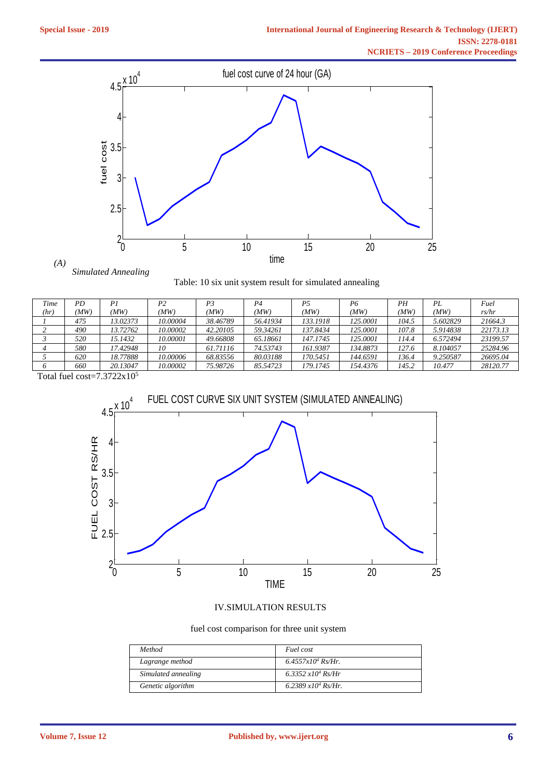

*(A) Simulated Annealing*

|  |  |  |  | Table: 10 six unit system result for simulated annealing |
|--|--|--|--|----------------------------------------------------------|
|  |  |  |  |                                                          |

| PD  | P.       | P2       | P <sub>3</sub> | P <sub>4</sub> | P5       | P6              | PН    | PL       | Fuel     |
|-----|----------|----------|----------------|----------------|----------|-----------------|-------|----------|----------|
| MW) | (MW)     | 'MW)     | (MW)           | MW)            | MW)      | (MW)            | 'MW   | (MW)     | rs/hr    |
| 475 | 13.02373 | 10.00004 | 38.46789       | 56.41934       | 133.1918 | <i>125.0001</i> | 104.5 | 5.602829 | 21664.3  |
| 490 | 13.72762 | 10.00002 | 42.20105       | 59.34261       | 137.8434 | <i>125.0001</i> | 107.8 | 5.914838 | 22173.13 |
| 520 | 15.1432  | 10.00001 | 49.66808       | 65.18661       | 147.1745 | <i>125.0001</i> | 114.4 | 6.572494 | 23199.57 |
| 580 | 17.42948 | 10       | 61.71116       | 74.53743       | 161.9387 | 134.8873        | 127.6 | 8.104057 | 25284.96 |
| 620 | 18.77888 | 10.00006 | 68.83556       | 80.03188       | 170.5451 | 144.6591        | 136.4 | 9.250587 | 26695.04 |
| 660 | 20.13047 | 10.00002 | 75.98726       | 85.54723       | 179.1745 | 154.4376        | 145.2 | 10.477   | 28120.77 |
|     |          |          |                |                |          |                 |       |          |          |

Total fuel cost= $7.3722x10<sup>5</sup>$ 



## IV.SIMULATION RESULTS

fuel cost comparison for three unit system

| Method              | Fuel cost             |
|---------------------|-----------------------|
| Lagrange method     | $6.4557x10^4$ Rs/Hr.  |
| Simulated annealing | 6.3352 $x10^4$ Rs/Hr  |
| Genetic algorithm   | 6.2389 $x10^4$ Rs/Hr. |